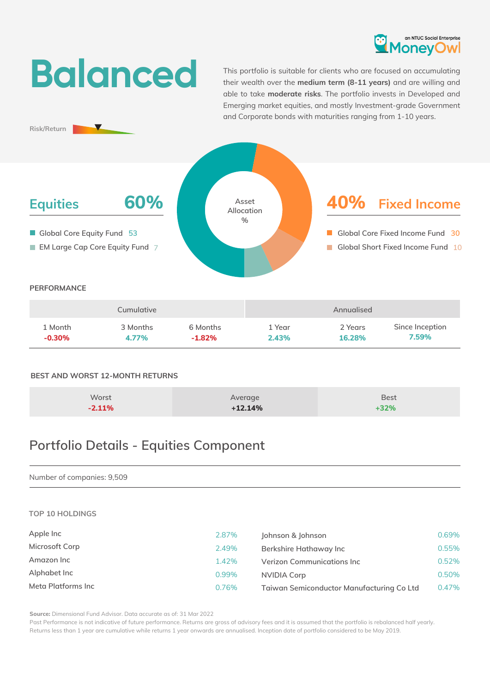

# **Balanced**

 $\blacksquare$ 

**Risk/Return**

This portfolio is suitable for clients who are focused on accumulating their wealth over the **medium term (8-11 years)** and are willing and able to take **moderate risks**. The portfolio invests in Developed and Emerging market equities, and mostly Investment-grade Government and Corporate bonds with maturities ranging from 1-10 years.



| Cumulative |          |           | Annualised |         |                 |
|------------|----------|-----------|------------|---------|-----------------|
| 1 Month    | 3 Months | 6 Months  | 1 Year     | 2 Years | Since Inception |
| $-0.30\%$  | 4.77%    | $-1.82\%$ | 2.43%      | 16.28%  | 7.59%           |

### **BEST AND WORST 12-MONTH RETURNS**

| Worst    | Average   | <b>Best</b> |
|----------|-----------|-------------|
|          |           |             |
| $-2.11%$ | $+12.14%$ | $+32%$      |

# **Portfolio Details - Equities Component**

#### Number of companies: 9,509

#### **TOP 10 HOLDINGS**

| Apple Inc          | 2.87% | Johnson & Johnson                         | 0.69% |
|--------------------|-------|-------------------------------------------|-------|
| Microsoft Corp     | 2.49% | Berkshire Hathaway Inc                    | 0.55% |
| Amazon Inc         | 1.42% | <b>Verizon Communications Inc.</b>        | 0.52% |
| Alphabet Inc       | 0.99% | NVIDIA Corp                               | 0.50% |
| Meta Platforms Inc | 0.76% | Taiwan Semiconductor Manufacturing Co Ltd | 0.47% |

**Source:** Dimensional Fund Advisor. Data accurate as of: 31 Mar 2022

Past Performance is not indicative of future performance. Returns are gross of advisory fees and it is assumed that the portfolio is rebalanced half yearly. Returns less than 1 year are cumulative while returns 1 year onwards are annualised. Inception date of portfolio considered to be May 2019.